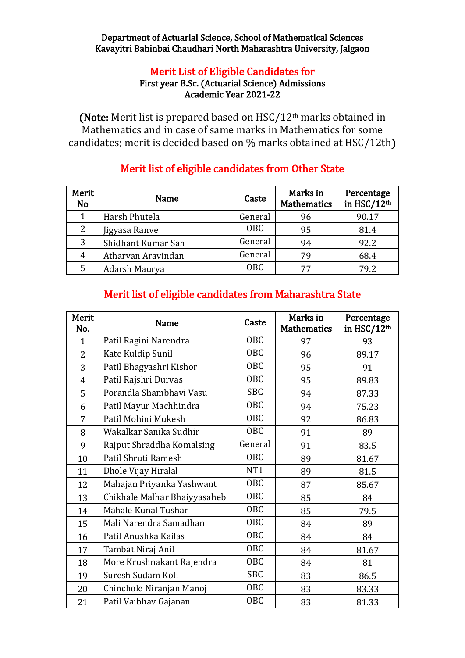#### Department of Actuarial Science, School of Mathematical Sciences Kavayitri Bahinbai Chaudhari North Maharashtra University, Jalgaon

#### Merit List of Eligible Candidates for First year B.Sc. (Actuarial Science) Admissions Academic Year 2021-22

(Note: Merit list is prepared based on  $HSC/12<sup>th</sup>$  marks obtained in Mathematics and in case of same marks in Mathematics for some candidates; merit is decided based on % marks obtained at HSC/12th)

| Merit<br><b>No</b> | <b>Name</b>        | Caste      | Marks in<br><b>Mathematics</b> | Percentage<br>in HSC/12th |
|--------------------|--------------------|------------|--------------------------------|---------------------------|
|                    | Harsh Phutela      | General    | 96                             | 90.17                     |
| 2                  | Jigyasa Ranve      | <b>OBC</b> | 95                             | 81.4                      |
| 3                  | Shidhant Kumar Sah | General    | 94                             | 92.2                      |
| 4                  | Atharvan Aravindan | General    | 79                             | 68.4                      |
| 5                  | Adarsh Maurya      | <b>OBC</b> | 77                             | 79.2                      |

# Merit list of eligible candidates from Other State

# Merit list of eligible candidates from Maharashtra State

| Merit<br>No.   | <b>Name</b>                  | Caste           | Marks in<br><b>Mathematics</b> | Percentage<br>in HSC/12 <sup>th</sup> |
|----------------|------------------------------|-----------------|--------------------------------|---------------------------------------|
| $\mathbf{1}$   | Patil Ragini Narendra        | <b>OBC</b>      | 97                             | 93                                    |
| $\overline{2}$ | Kate Kuldip Sunil            | <b>OBC</b>      | 96                             | 89.17                                 |
| 3              | Patil Bhagyashri Kishor      | <b>OBC</b>      | 95                             | 91                                    |
| $\overline{4}$ | Patil Rajshri Durvas         | <b>OBC</b>      | 95                             | 89.83                                 |
| 5              | Porandla Shambhavi Vasu      | <b>SBC</b>      | 94                             | 87.33                                 |
| 6              | Patil Mayur Machhindra       | <b>OBC</b>      | 94                             | 75.23                                 |
| 7              | Patil Mohini Mukesh          | <b>OBC</b>      | 92                             | 86.83                                 |
| 8              | Wakalkar Sanika Sudhir       | <b>OBC</b>      | 91                             | 89                                    |
| 9              | Rajput Shraddha Komalsing    | General         | 91                             | 83.5                                  |
| 10             | Patil Shruti Ramesh          | OBC             | 89                             | 81.67                                 |
| 11             | Dhole Vijay Hiralal          | NT <sub>1</sub> | 89                             | 81.5                                  |
| 12             | Mahajan Priyanka Yashwant    | <b>OBC</b>      | 87                             | 85.67                                 |
| 13             | Chikhale Malhar Bhaiyyasaheb | <b>OBC</b>      | 85                             | 84                                    |
| 14             | Mahale Kunal Tushar          | OBC             | 85                             | 79.5                                  |
| 15             | Mali Narendra Samadhan       | <b>OBC</b>      | 84                             | 89                                    |
| 16             | Patil Anushka Kailas         | <b>OBC</b>      | 84                             | 84                                    |
| 17             | Tambat Niraj Anil            | OBC             | 84                             | 81.67                                 |
| 18             | More Krushnakant Rajendra    | OBC             | 84                             | 81                                    |
| 19             | Suresh Sudam Koli            | <b>SBC</b>      | 83                             | 86.5                                  |
| 20             | Chinchole Niranjan Manoj     | <b>OBC</b>      | 83                             | 83.33                                 |
| 21             | Patil Vaibhav Gajanan        | <b>OBC</b>      | 83                             | 81.33                                 |